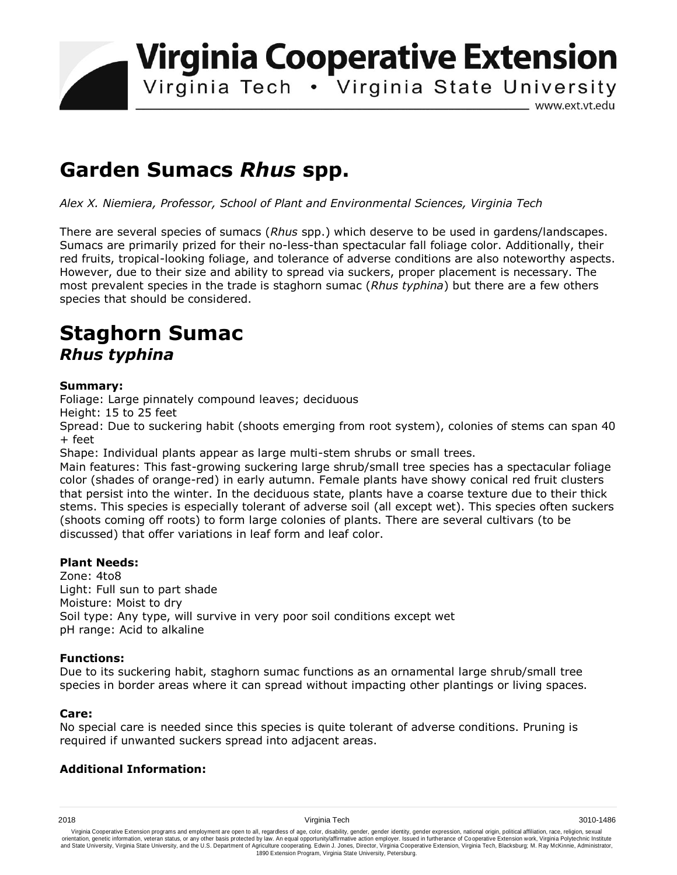**Virginia Cooperative Extension** 

Virginia Tech . Virginia State University

www.ext.vt.edu

# **Garden Sumacs** *Rhus* **spp.**

*Alex X. Niemiera, Professor, School of Plant and Environmental Sciences, Virginia Tech*

There are several species of sumacs (*Rhus* spp.) which deserve to be used in gardens/landscapes. Sumacs are primarily prized for their no-less-than spectacular fall foliage color. Additionally, their red fruits, tropical-looking foliage, and tolerance of adverse conditions are also noteworthy aspects. However, due to their size and ability to spread via suckers, proper placement is necessary. The most prevalent species in the trade is staghorn sumac (*Rhus typhina*) but there are a few others species that should be considered.

# **Staghorn Sumac**  *Rhus typhina*

# **Summary:**

Foliage: Large pinnately compound leaves; deciduous

Height: 15 to 25 feet

Spread: Due to suckering habit (shoots emerging from root system), colonies of stems can span 40 + feet

Shape: Individual plants appear as large multi-stem shrubs or small trees.

Main features: This fast-growing suckering large shrub/small tree species has a spectacular foliage color (shades of orange-red) in early autumn. Female plants have showy conical red fruit clusters that persist into the winter. In the deciduous state, plants have a coarse texture due to their thick stems. This species is especially tolerant of adverse soil (all except wet). This species often suckers (shoots coming off roots) to form large colonies of plants. There are several cultivars (to be discussed) that offer variations in leaf form and leaf color.

# **Plant Needs:**

Zone: 4to8 Light: Full sun to part shade Moisture: Moist to dry Soil type: Any type, will survive in very poor soil conditions except wet pH range: Acid to alkaline

# **Functions:**

Due to its suckering habit, staghorn sumac functions as an ornamental large shrub/small tree species in border areas where it can spread without impacting other plantings or living spaces.

# **Care:**

No special care is needed since this species is quite tolerant of adverse conditions. Pruning is required if unwanted suckers spread into adjacent areas.

# **Additional Information:**

Virginia Cooperative Extension programs and employment are open to all, regardless of age, color, disability, gender, gender identity, gender expression, national origin, political affiliation, race, religion, sexual وrie 1890 Extension Program, Virginia State University, Petersburg.